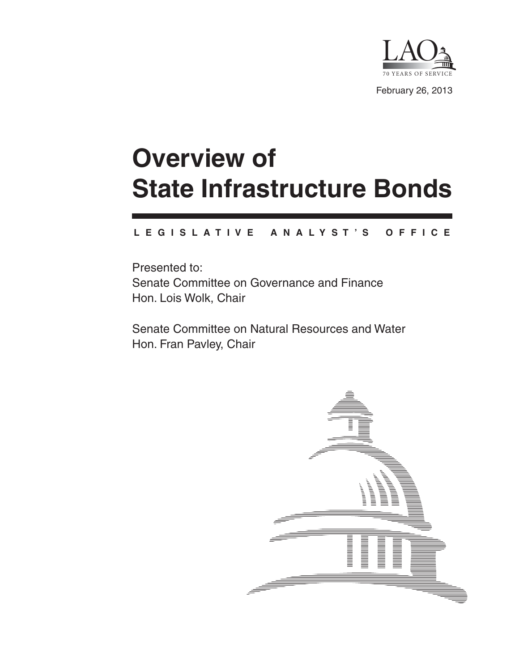

# **Overview of State Infrastructure Bonds**

#### **L E G I S L A T I V E A N A L Y S T ' S O F F I C E**

Presented to: Senate Committee on Governance and Finance Hon. Lois Wolk, Chair

Senate Committee on Natural Resources and Water Hon. Fran Pavley, Chair

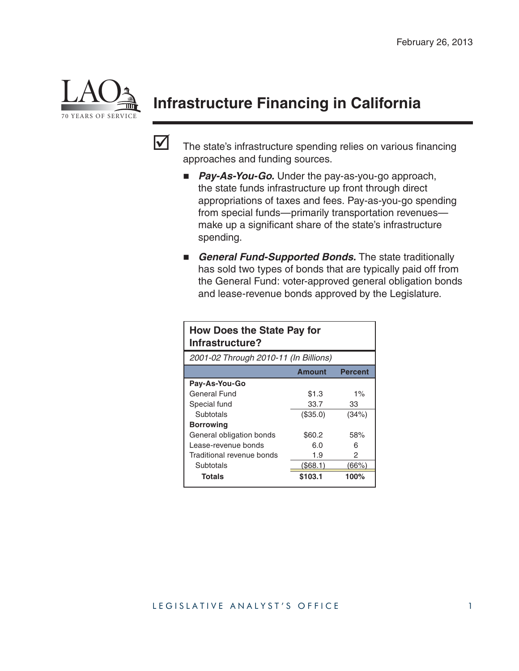

# **Infrastructure Financing in California**



 $\blacksquare$  The state's infrastructure spending relies on various financing approaches and funding sources.

- **Pay-As-You-Go.** Under the pay-as-you-go approach, the state funds infrastructure up front through direct appropriations of taxes and fees. Pay-as-you-go spending from special funds—primarily transportation revenues make up a significant share of the state's infrastructure spending.
- **General Fund-Supported Bonds.** The state traditionally has sold two types of bonds that are typically paid off from the General Fund: voter-approved general obligation bonds and lease-revenue bonds approved by the Legislature.

| <b>How Does the State Pay for</b><br>Infrastructure? |               |                |  |  |
|------------------------------------------------------|---------------|----------------|--|--|
| 2001-02 Through 2010-11 (In Billions)                |               |                |  |  |
|                                                      | <b>Amount</b> | <b>Percent</b> |  |  |
| Pay-As-You-Go                                        |               |                |  |  |
| General Fund                                         | \$1.3         | $1\%$          |  |  |
| Special fund                                         | 33.7          | 33             |  |  |
| Subtotals                                            | (\$35.0)      | (34%)          |  |  |
| <b>Borrowing</b>                                     |               |                |  |  |
| General obligation bonds                             | \$60.2        | 58%            |  |  |
| Lease-revenue bonds                                  | 6.0           | 6              |  |  |
| Traditional revenue bonds                            | 1.9           | 2              |  |  |
| Subtotals                                            | (\$68.1)      | (66%)          |  |  |
| <b>Totals</b>                                        | \$103.1       | 100%           |  |  |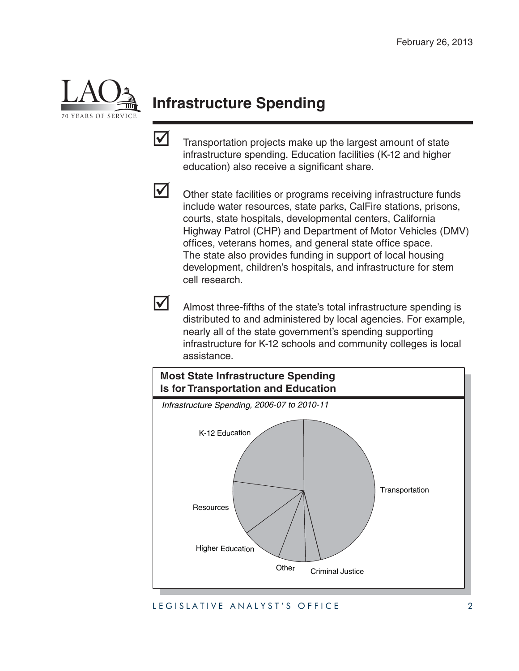

# **Infrastructure Spending**

 $\triangledown$  Transportation projects make up the largest amount of state infrastructure spending. Education facilities (K-12 and higher education) also receive a significant share.



 $\triangleright$  Other state facilities or programs receiving infrastructure funds include water resources, state parks, CalFire stations, prisons, courts, state hospitals, developmental centers, California Highway Patrol (CHP) and Department of Motor Vehicles (DMV) offices, veterans homes, and general state office space. The state also provides funding in support of local housing development, children's hospitals, and infrastructure for stem cell research.



Almost three-fifths of the state's total infrastructure spending is distributed to and administered by local agencies. For example, nearly all of the state government's spending supporting infrastructure for K-12 schools and community colleges is local assistance.



LEGISLATIVE ANALYST'S OFFICE 2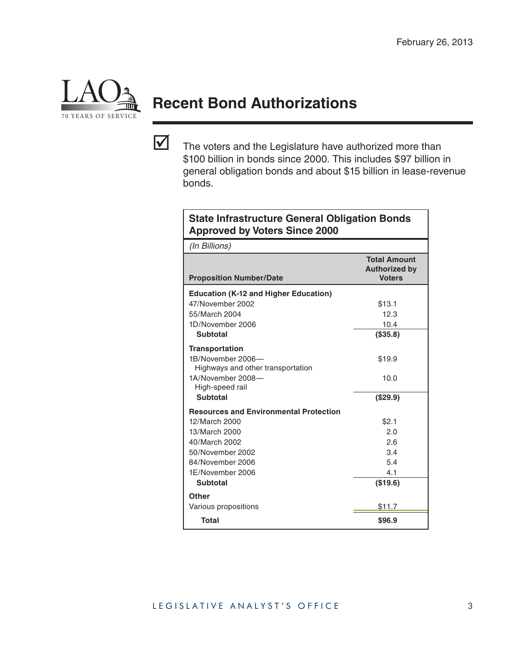

# **Recent Bond Authorizations**

 $\triangledown$  The voters and the Legislature have authorized more than \$100 billion in bonds since 2000. This includes \$97 billion in general obligation bonds and about \$15 billion in lease-revenue bonds.

| <b>State Infrastructure General Obligation Bonds</b><br><b>Approved by Voters Since 2000</b>                            |                                                              |  |  |
|-------------------------------------------------------------------------------------------------------------------------|--------------------------------------------------------------|--|--|
| (In Billions)                                                                                                           |                                                              |  |  |
| <b>Proposition Number/Date</b>                                                                                          | <b>Total Amount</b><br><b>Authorized by</b><br><b>Voters</b> |  |  |
| <b>Education (K-12 and Higher Education)</b>                                                                            |                                                              |  |  |
| 47/November 2002                                                                                                        | \$13.1                                                       |  |  |
| 55/March 2004                                                                                                           | 12.3                                                         |  |  |
| 1D/November 2006                                                                                                        | 10.4                                                         |  |  |
| <b>Subtotal</b>                                                                                                         | (\$35.8)                                                     |  |  |
| <b>Transportation</b><br>1B/November 2006-<br>Highways and other transportation<br>1A/November 2008-<br>High-speed rail | \$19.9<br>10.0                                               |  |  |
| <b>Subtotal</b>                                                                                                         | (\$29.9)                                                     |  |  |
| <b>Resources and Environmental Protection</b>                                                                           |                                                              |  |  |
| 12/March 2000                                                                                                           | \$2.1                                                        |  |  |
| 13/March 2000                                                                                                           | 2.0                                                          |  |  |
| 40/March 2002                                                                                                           | 2.6                                                          |  |  |
| 50/November 2002                                                                                                        | 3.4                                                          |  |  |
| 84/November 2006                                                                                                        | 5.4                                                          |  |  |
| 1E/November 2006                                                                                                        | 4.1                                                          |  |  |
| <b>Subtotal</b>                                                                                                         | (\$19.6)                                                     |  |  |
| Other                                                                                                                   |                                                              |  |  |
| Various propositions                                                                                                    | \$11.7                                                       |  |  |
| Total                                                                                                                   | \$96.9                                                       |  |  |

#### LEGISLATIVE ANALYST'S OFFICE 3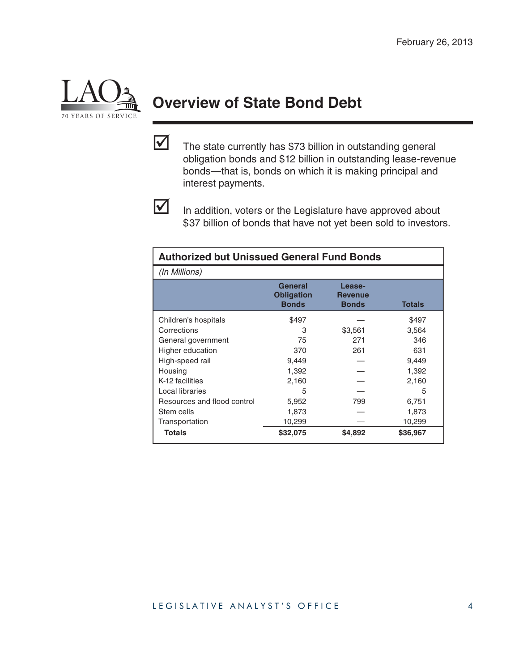

# **Overview of State Bond Debt**

 $\triangledown$  The state currently has \$73 billion in outstanding general obligation bonds and \$12 billion in outstanding lease-revenue bonds—that is, bonds on which it is making principal and interest payments.



In addition, voters or the Legislature have approved about \$37 billion of bonds that have not yet been sold to investors.

| <b>Authorized but Unissued General Fund Bonds</b> |                                              |                                          |               |  |
|---------------------------------------------------|----------------------------------------------|------------------------------------------|---------------|--|
| (In Millions)                                     |                                              |                                          |               |  |
|                                                   | General<br><b>Obligation</b><br><b>Bonds</b> | Lease-<br><b>Revenue</b><br><b>Bonds</b> | <b>Totals</b> |  |
| Children's hospitals                              | \$497                                        |                                          | \$497         |  |
| Corrections                                       | З                                            | \$3,561                                  | 3,564         |  |
| General government                                | 75                                           | 271                                      | 346           |  |
| Higher education                                  | 370                                          | 261                                      | 631           |  |
| High-speed rail                                   | 9,449                                        |                                          | 9,449         |  |
| Housing                                           | 1,392                                        |                                          | 1,392         |  |
| K-12 facilities                                   | 2,160                                        |                                          | 2,160         |  |
| Local libraries                                   | 5                                            |                                          | 5             |  |
| Resources and flood control                       | 5,952                                        | 799                                      | 6,751         |  |
| Stem cells                                        | 1,873                                        |                                          | 1,873         |  |
| Transportation                                    | 10,299                                       |                                          | 10,299        |  |
| <b>Totals</b>                                     | \$32,075                                     | \$4,892                                  | \$36,967      |  |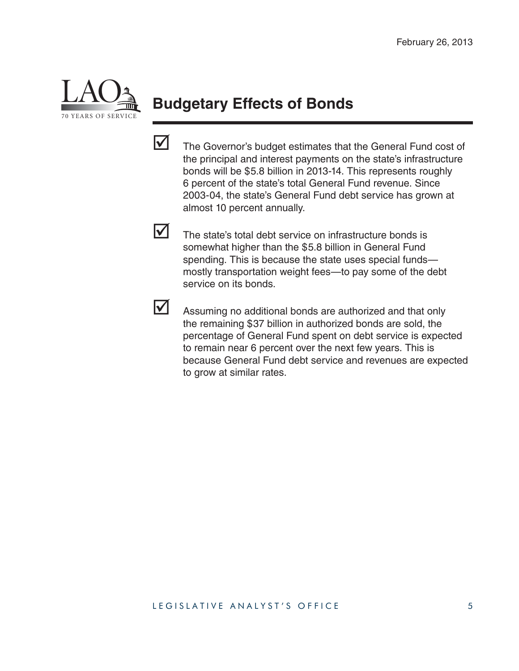

## **Budgetary Effects of Bonds**

- $\blacksquare$  The Governor's budget estimates that the General Fund cost of the principal and interest payments on the state's infrastructure bonds will be \$5.8 billion in 2013-14. This represents roughly 6 percent of the state's total General Fund revenue. Since 2003-04, the state's General Fund debt service has grown at almost 10 percent annually.
- 

 $\triangledown$  The state's total debt service on infrastructure bonds is somewhat higher than the \$5.8 billion in General Fund spending. This is because the state uses special funds mostly transportation weight fees—to pay some of the debt service on its bonds.

 $\triangleright$  Assuming no additional bonds are authorized and that only the remaining \$37 billion in authorized bonds are sold, the percentage of General Fund spent on debt service is expected to remain near 6 percent over the next few years. This is because General Fund debt service and revenues are expected to grow at similar rates.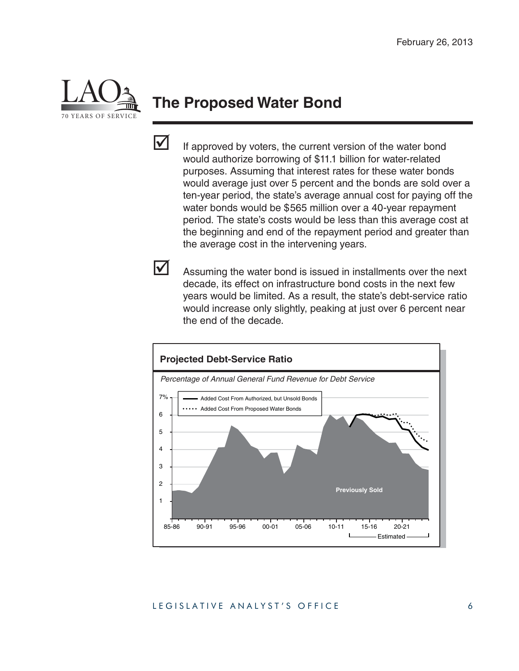

#### **The Proposed Water Bond**



 $\blacksquare$  If approved by voters, the current version of the water bond would authorize borrowing of \$11.1 billion for water-related purposes. Assuming that interest rates for these water bonds would average just over 5 percent and the bonds are sold over a ten-year period, the state's average annual cost for paying off the water bonds would be \$565 million over a 40-year repayment period. The state's costs would be less than this average cost at the beginning and end of the repayment period and greater than the average cost in the intervening years.

 $\blacktriangleright$  Assuming the water bond is issued in installments over the next decade, its effect on infrastructure bond costs in the next few years would be limited. As a result, the state's debt-service ratio would increase only slightly, peaking at just over 6 percent near the end of the decade.

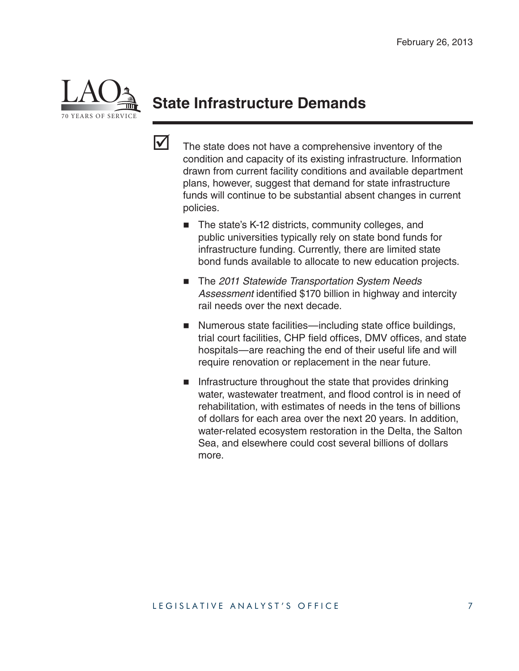

### **State Infrastructure Demands**

- $\triangledown$  The state does not have a comprehensive inventory of the condition and capacity of its existing infrastructure. Information drawn from current facility conditions and available department plans, however, suggest that demand for state infrastructure funds will continue to be substantial absent changes in current policies.
	- The state's K-12 districts, community colleges, and public universities typically rely on state bond funds for infrastructure funding. Currently, there are limited state bond funds available to allocate to new education projects.
	- The 2011 Statewide Transportation System Needs Assessment identified \$170 billion in highway and intercity rail needs over the next decade.
	- Numerous state facilities—including state office buildings, trial court facilities, CHP field offices, DMV offices, and state hospitals—are reaching the end of their useful life and will require renovation or replacement in the near future.
	- $\blacksquare$  Infrastructure throughout the state that provides drinking water, wastewater treatment, and flood control is in need of rehabilitation, with estimates of needs in the tens of billions of dollars for each area over the next 20 years. In addition, water-related ecosystem restoration in the Delta, the Salton Sea, and elsewhere could cost several billions of dollars more.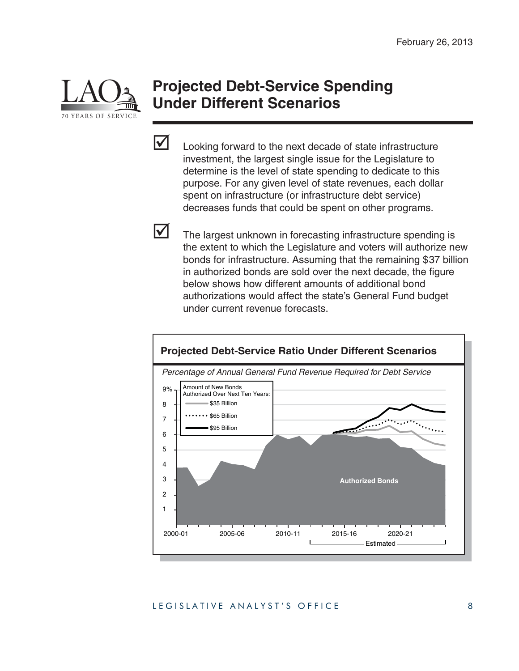

#### **Projected Debt-Service Spending Under Different Scenarios**



 $\triangleright$  Looking forward to the next decade of state infrastructure investment, the largest single issue for the Legislature to determine is the level of state spending to dedicate to this purpose. For any given level of state revenues, each dollar spent on infrastructure (or infrastructure debt service) decreases funds that could be spent on other programs.

 $\blacksquare$  The largest unknown in forecasting infrastructure spending is the extent to which the Legislature and voters will authorize new bonds for infrastructure. Assuming that the remaining \$37 billion in authorized bonds are sold over the next decade, the figure below shows how different amounts of additional bond authorizations would affect the state's General Fund budget under current revenue forecasts.



#### LEGISLATIVE ANALYST'S OFFICE 8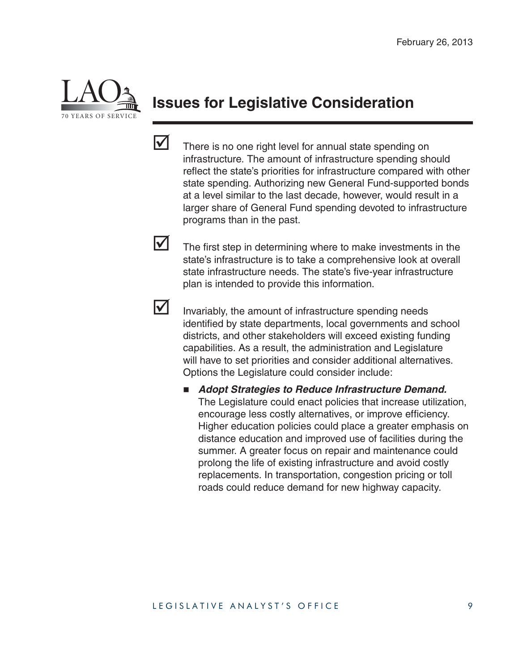

### **Issues for Legislative Consideration**



 $\triangledown$  There is no one right level for annual state spending on infrastructure. The amount of infrastructure spending should reflect the state's priorities for infrastructure compared with other state spending. Authorizing new General Fund-supported bonds at a level similar to the last decade, however, would result in a larger share of General Fund spending devoted to infrastructure programs than in the past.

 $\triangleright$  The first step in determining where to make investments in the state's infrastructure is to take a comprehensive look at overall state infrastructure needs. The state's five-year infrastructure plan is intended to provide this information.

 $\mathbf{\Omega}$  Invariably, the amount of infrastructure spending needs identified by state departments, local governments and school districts, and other stakeholders will exceed existing funding capabilities. As a result, the administration and Legislature will have to set priorities and consider additional alternatives. Options the Legislature could consider include:

 *Adopt Strategies to Reduce Infrastructure Demand.* The Legislature could enact policies that increase utilization, encourage less costly alternatives, or improve efficiency. Higher education policies could place a greater emphasis on distance education and improved use of facilities during the summer. A greater focus on repair and maintenance could prolong the life of existing infrastructure and avoid costly replacements. In transportation, congestion pricing or toll roads could reduce demand for new highway capacity.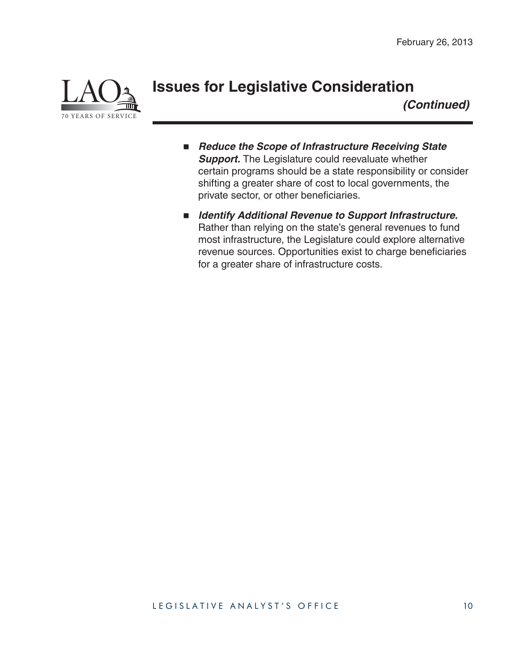

#### **Issues for Legislative Consideration**

*(Continued)*

- Reduce the Scope of Infrastructure Receiving State **Support.** The Legislature could reevaluate whether certain programs should be a state responsibility or consider shifting a greater share of cost to local governments, the private sector, or other beneficiaries.
- *Identify Additional Revenue to Support Infrastructure.* Rather than relying on the state's general revenues to fund most infrastructure, the Legislature could explore alternative revenue sources. Opportunities exist to charge beneficiaries for a greater share of infrastructure costs.